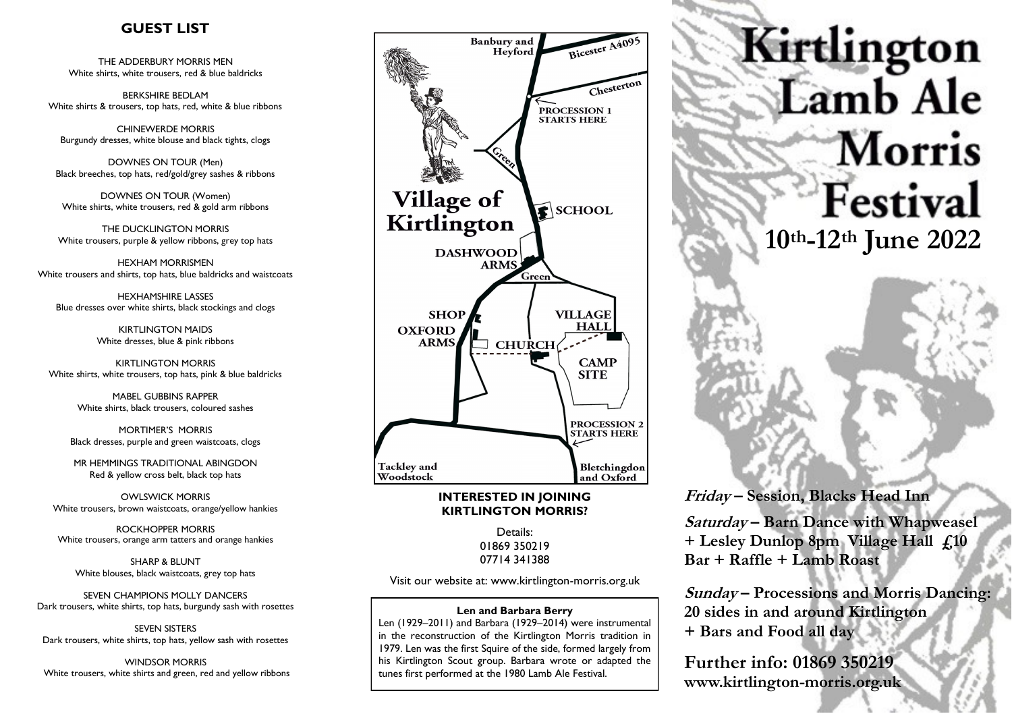## **GUEST LIST**

THE ADDERBURY MORRIS MEN White shirts, white trousers, red & blue baldricks

BERKSHIRE BEDLAM White shirts & trousers, top hats, red, white & blue ribbons

CHINEWERDE MORRIS Burgundy dresses, white blouse and black tights, clogs

DOWNES ON TOUR (Men) Black breeches, top hats, red/gold/grey sashes & ribbons

DOWNES ON TOUR (Women) White shirts, white trousers, red & gold arm ribbons

THE DUCKLINGTON MORRIS White trousers, purple & yellow ribbons, grey top hats

HEXHAM MORRISMEN White trousers and shirts, top hats, blue baldricks and waistcoats

HEXHAMSHIRE LASSES Blue dresses over white shirts, black stockings and clogs

> KIRTLINGTON MAIDS White dresses, blue & pink ribbons

KIRTLINGTON MORRIS White shirts, white trousers, top hats, pink & blue baldricks

> MABEL GUBBINS RAPPER White shirts, black trousers, coloured sashes

MORTIMER'S MORRIS Black dresses, purple and green waistcoats, clogs

MR HEMMINGS TRADITIONAL ABINGDON Red & yellow cross belt, black top hats

OWLSWICK MORRIS White trousers, brown waistcoats, orange/yellow hankies

ROCKHOPPER MORRIS White trousers, orange arm tatters and orange hankies

SHARP & BLUNT White blouses, black waistcoats, grey top hats

SEVEN CHAMPIONS MOLLY DANCERS Dark trousers, white shirts, top hats, burgundy sash with rosettes

SEVEN SISTERS Dark trousers, white shirts, top hats, yellow sash with rosettes

WINDSOR MORRIS White trousers, white shirts and green, red and yellow ribbons



#### **INTERESTED IN JOINING KIRTLINGTON MORRIS?**

Details: 01869 350219 07714 341388

Visit our website at: www.kirtlington-morris.org.uk

#### **Len and Barbara Berry**

Len (1929–2011) and Barbara (1929–2014) were instrumental in the reconstruction of the Kirtlington Morris tradition in 1979. Len was the first Squire of the side, formed largely from his Kirtlington Scout group. Barbara wrote or adapted the tunes first performed at the 1980 Lamb Ale Festival.



## **Friday – Session, Blacks Head Inn**

**Saturday – Barn Dance with Whapweasel + Lesley Dunlop 8pm Village Hall £10 Bar + Raffle + Lamb Roast**

**Sunday – Processions and Morris Dancing: 20 sides in and around Kirtlington + Bars and Food all day**

**Further info: 01869 350219 www.kirtlington-morris.org.uk**